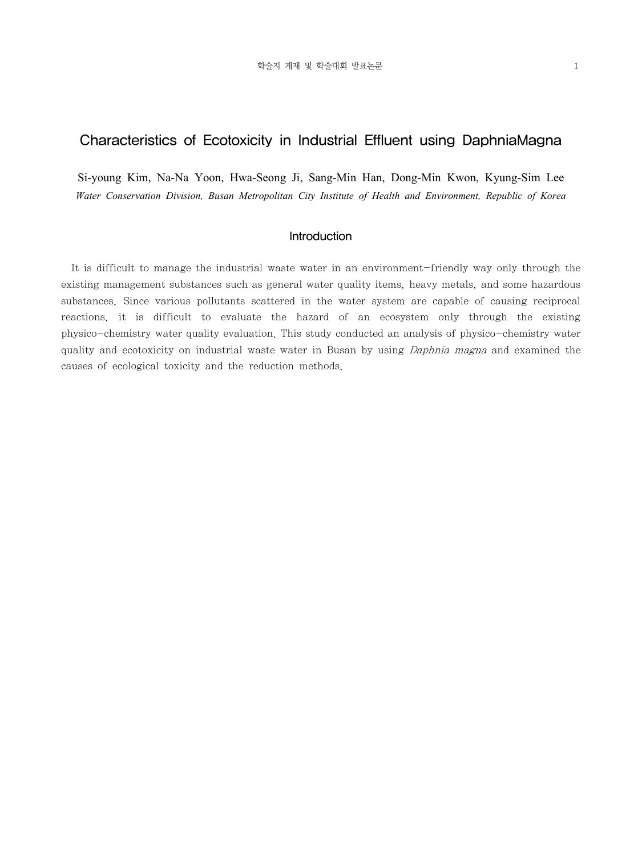## Characteristics of Ecotoxicity in Industrial Effluent using DaphniaMagna

Si-young Kim, Na-Na Yoon, Hwa-Seong Ji, Sang-Min Han, Dong-Min Kwon, Kyung-Sim Lee *Water Conservation Division, Busan Metropolitan City Institute of Health and Environment, Republic of Korea*

#### Introduction

 It is difficult to manage the industrial waste water in an environment-friendly way only through the existing management substances such as general water quality items, heavy metals, and some hazardous substances. Since various pollutants scattered in the water system are capable of causing reciprocal reactions, it is difficult to evaluate the hazard of an ecosystem only through the existing physico-chemistry water quality evaluation. This study conducted an analysis of physico-chemistry water quality and ecotoxicity on industrial waste water in Busan by using *Daphnia magna* and examined the causes of ecological toxicity and the reduction methods.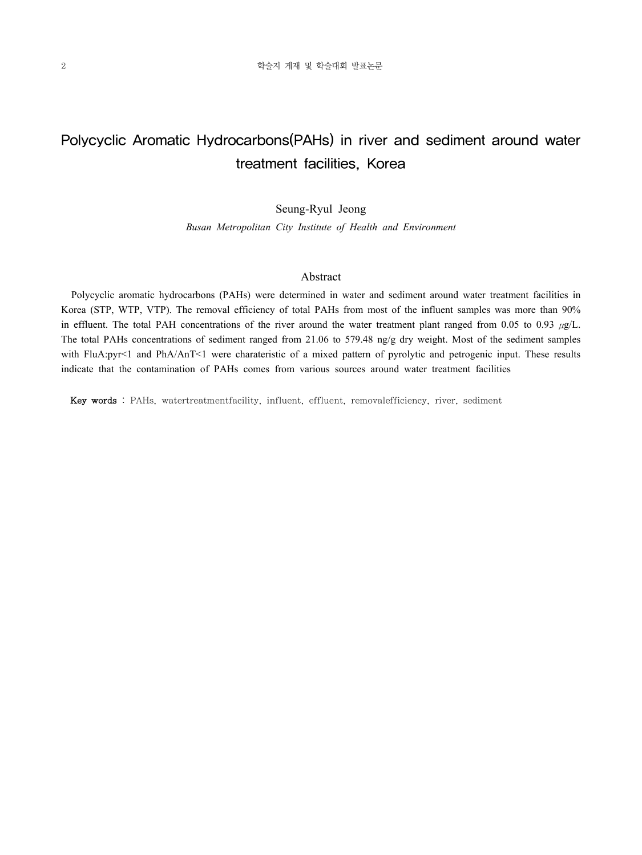# Polycyclic Aromatic Hydrocarbons(PAHs) in river and sediment around water treatment facilities, Korea

#### Seung-Ryul Jeong

*Busan Metropolitan City Institute of Health and Environment* 

#### Abstract

 Polycyclic aromatic hydrocarbons (PAHs) were determined in water and sediment around water treatment facilities in Korea (STP, WTP, VTP). The removal efficiency of total PAHs from most of the influent samples was more than 90% in effluent. The total PAH concentrations of the river around the water treatment plant ranged from 0.05 to 0.93  $\mu g/L$ . The total PAHs concentrations of sediment ranged from 21.06 to 579.48 ng/g dry weight. Most of the sediment samples with FluA:pyr<1 and PhA/AnT<1 were charateristic of a mixed pattern of pyrolytic and petrogenic input. These results indicate that the contamination of PAHs comes from various sources around water treatment facilities

Key words : PAHs, watertreatmentfacility, influent, effluent, removalefficiency, river, sediment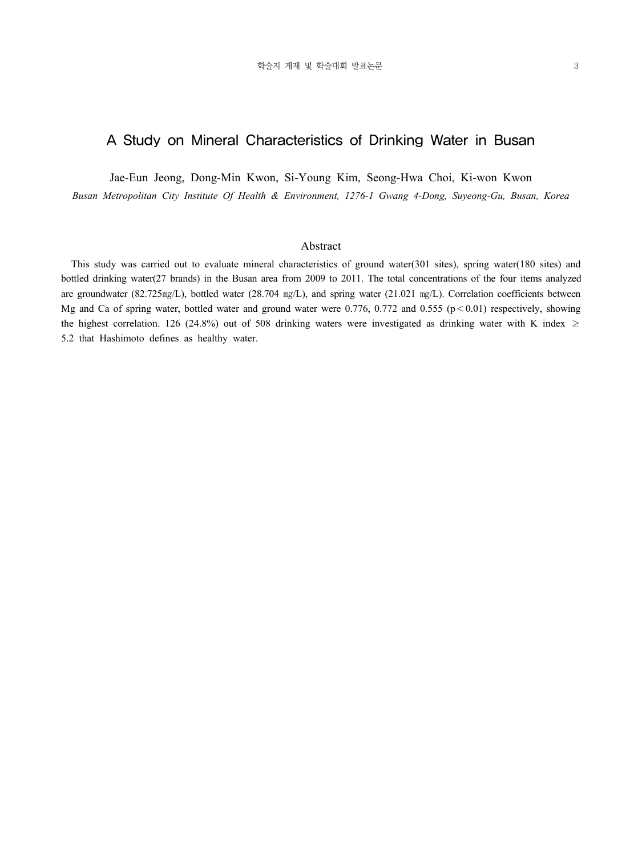### A Study on Mineral Characteristics of Drinking Water in Busan

Jae-Eun Jeong, Dong-Min Kwon, Si-Young Kim, Seong-Hwa Choi, Ki-won Kwon

*Busan Metropolitan City Institute Of Health & Environment, 1276-1 Gwang 4-Dong, Suyeong-Gu, Busan, Korea*

#### Abstract

 This study was carried out to evaluate mineral characteristics of ground water(301 sites), spring water(180 sites) and bottled drinking water(27 brands) in the Busan area from 2009 to 2011. The total concentrations of the four items analyzed are groundwater (82.725 $mg/L$ ), bottled water (28.704 mg/L), and spring water (21.021 mg/L). Correlation coefficients between Mg and Ca of spring water, bottled water and ground water were 0.776, 0.772 and 0.555 ( $p < 0.01$ ) respectively, showing the highest correlation. 126 (24.8%) out of 508 drinking waters were investigated as drinking water with K index  $\geq$ 5.2 that Hashimoto defines as healthy water.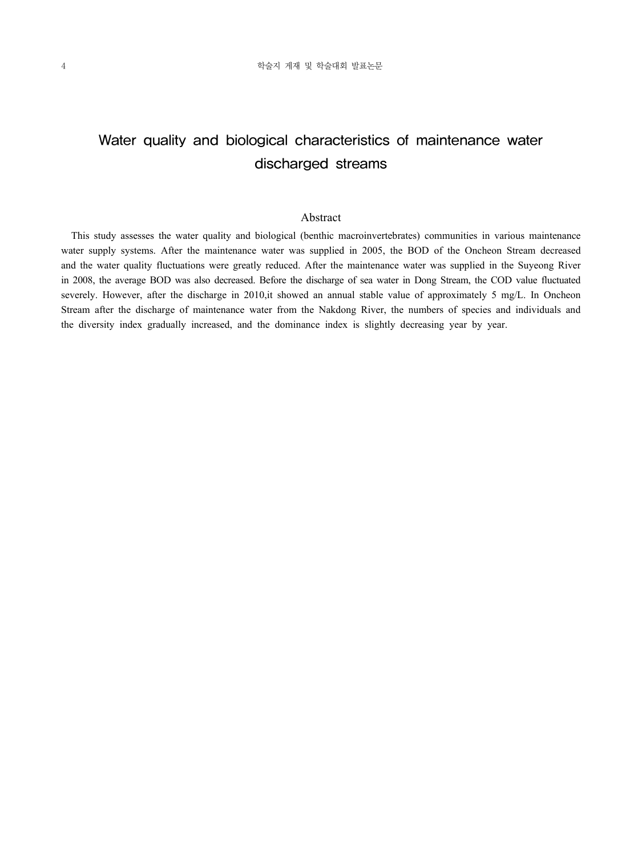# Water quality and biological characteristics of maintenance water discharged streams

#### Abstract

 This study assesses the water quality and biological (benthic macroinvertebrates) communities in various maintenance water supply systems. After the maintenance water was supplied in 2005, the BOD of the Oncheon Stream decreased and the water quality fluctuations were greatly reduced. After the maintenance water was supplied in the Suyeong River in 2008, the average BOD was also decreased. Before the discharge of sea water in Dong Stream, the COD value fluctuated severely. However, after the discharge in 2010,it showed an annual stable value of approximately 5 mg/L. In Oncheon Stream after the discharge of maintenance water from the Nakdong River, the numbers of species and individuals and the diversity index gradually increased, and the dominance index is slightly decreasing year by year.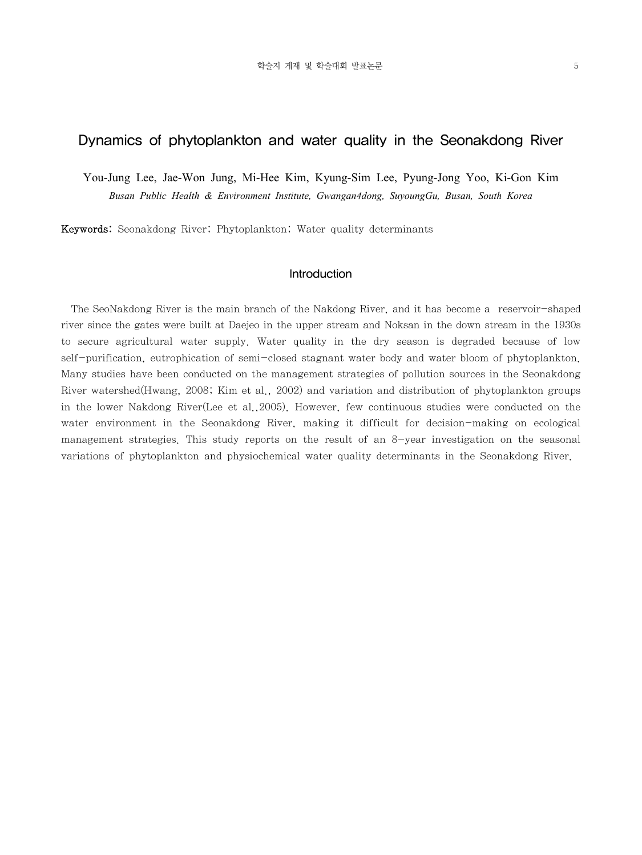### Dynamics of phytoplankton and water quality in the Seonakdong River

You-Jung Lee, Jae-Won Jung, Mi-Hee Kim, Kyung-Sim Lee, Pyung-Jong Yoo, Ki-Gon Kim *Busan Public Health & Environment Institute, Gwangan4dong, SuyoungGu, Busan, South Korea*

Keywords: Seonakdong River; Phytoplankton; Water quality determinants

#### Introduction

 The SeoNakdong River is the main branch of the Nakdong River, and it has become a reservoir-shaped river since the gates were built at Daejeo in the upper stream and Noksan in the down stream in the 1930s to secure agricultural water supply. Water quality in the dry season is degraded because of low self-purification, eutrophication of semi-closed stagnant water body and water bloom of phytoplankton. Many studies have been conducted on the management strategies of pollution sources in the Seonakdong River watershed(Hwang, 2008; Kim et al., 2002) and variation and distribution of phytoplankton groups in the lower Nakdong River(Lee et al.,2005). However, few continuous studies were conducted on the water environment in the Seonakdong River, making it difficult for decision-making on ecological management strategies. This study reports on the result of an 8-year investigation on the seasonal variations of phytoplankton and physiochemical water quality determinants in the Seonakdong River.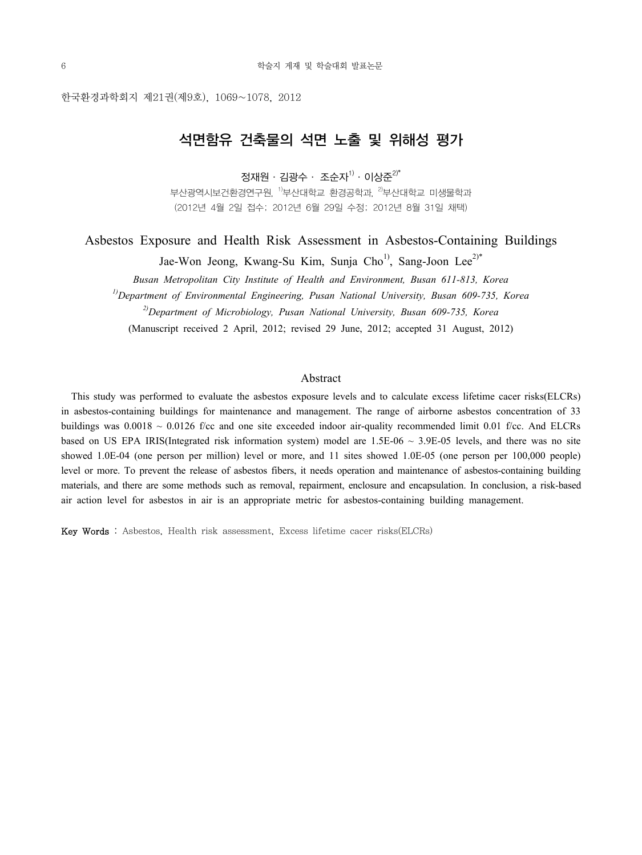한국환경과학회지 제21권(제9호), 1069~1078, 2012

## 석면함유 건축물의 석면 노출 및 위해성 평가

정재원 · 김광수 · 조순자 $^{1)}$  · 이상준 $^{2)}$ \*

부산광역시보건환경연구원, <sup>1)</sup>부산대학교 환경공학과, <sup>2</sup>부산대학교 미생물학과 (2012년 4월 2일 접수; 2012년 6월 29일 수정; 2012년 8월 31일 채택)

### Asbestos Exposure and Health Risk Assessment in Asbestos-Containing Buildings

Jae-Won Jeong, Kwang-Su Kim, Sunja Cho<sup>1)</sup>, Sang-Joon Lee<sup>2)\*</sup>

*Busan Metropolitan City Institute of Health and Environment, Busan 611-813, Korea*

*1)Department of Environmental Engineering, Pusan National University, Busan 609-735, Korea 2)Department of Microbiology, Pusan National University, Busan 609-735, Korea*

(Manuscript received 2 April, 2012; revised 29 June, 2012; accepted 31 August, 2012)

#### Abstract

 This study was performed to evaluate the asbestos exposure levels and to calculate excess lifetime cacer risks(ELCRs) in asbestos-containing buildings for maintenance and management. The range of airborne asbestos concentration of 33 buildings was  $0.0018 \sim 0.0126$  f/cc and one site exceeded indoor air-quality recommended limit 0.01 f/cc. And ELCRs based on US EPA IRIS(Integrated risk information system) model are  $1.5E-06 \sim 3.9E-05$  levels, and there was no site showed 1.0E-04 (one person per million) level or more, and 11 sites showed 1.0E-05 (one person per 100,000 people) level or more. To prevent the release of asbestos fibers, it needs operation and maintenance of asbestos-containing building materials, and there are some methods such as removal, repairment, enclosure and encapsulation. In conclusion, a risk-based air action level for asbestos in air is an appropriate metric for asbestos-containing building management.

Key Words : Asbestos, Health risk assessment, Excess lifetime cacer risks(ELCRs)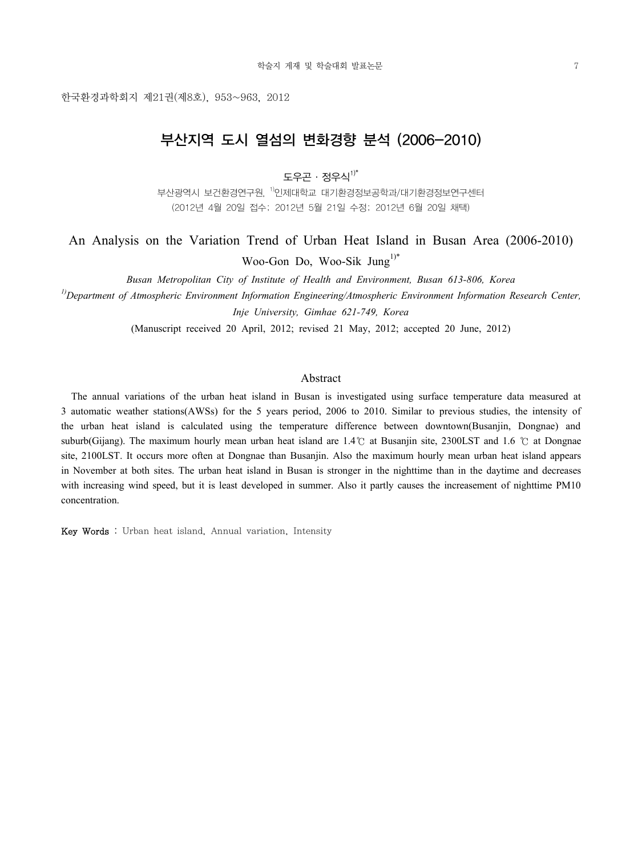한국환경과학회지 제21권(제8호), 953~963, 2012

## 부산지역 도시 열섬의 변화경향 분석 (2006-2010)

 $E P - N 3941$ <sup>1)\*</sup>

부산광역시 보건환경연구원, 1)인제대학교 대기환경정보공학과/대기환경정보연구센터 (2012년 4월 20일 접수; 2012년 5월 21일 수정; 2012년 6월 20일 채택)

### An Analysis on the Variation Trend of Urban Heat Island in Busan Area (2006-2010)

Woo-Gon Do, Woo-Sik  $Jung<sup>1</sup>$ \*

*Busan Metropolitan City of Institute of Health and Environment, Busan 613-806, Korea*

*1)Department of Atmospheric Environment Information Engineering/Atmospheric Environment Information Research Center, Inje University, Gimhae 621-749, Korea*

(Manuscript received 20 April, 2012; revised 21 May, 2012; accepted 20 June, 2012)

#### Abstract

 The annual variations of the urban heat island in Busan is investigated using surface temperature data measured at 3 automatic weather stations(AWSs) for the 5 years period, 2006 to 2010. Similar to previous studies, the intensity of the urban heat island is calculated using the temperature difference between downtown(Busanjin, Dongnae) and suburb(Gijang). The maximum hourly mean urban heat island are 1.4℃ at Busanjin site, 2300LST and 1.6 ℃ at Dongnae site, 2100LST. It occurs more often at Dongnae than Busanjin. Also the maximum hourly mean urban heat island appears in November at both sites. The urban heat island in Busan is stronger in the nighttime than in the daytime and decreases with increasing wind speed, but it is least developed in summer. Also it partly causes the increasement of nighttime PM10 concentration.

Key Words : Urban heat island, Annual variation, Intensity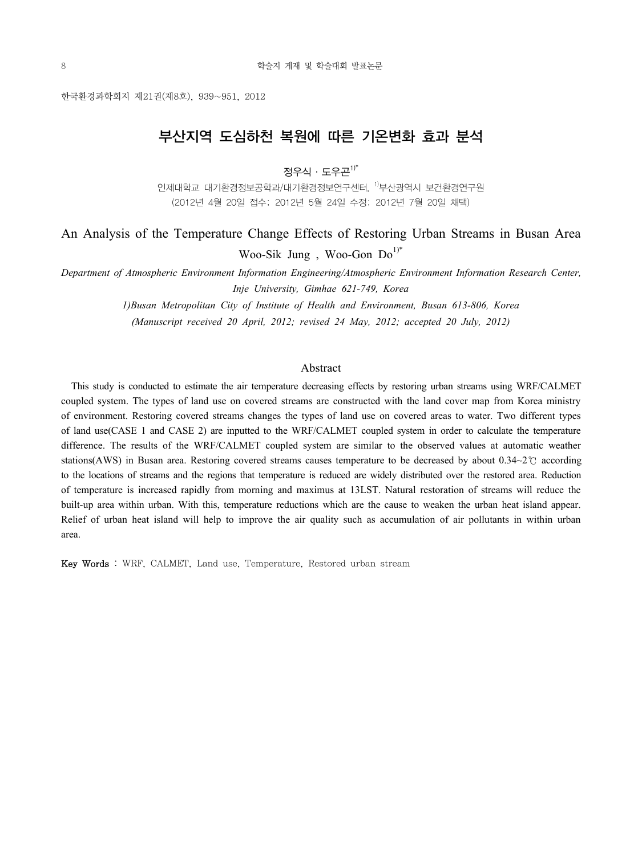한국환경과학회지 제21권(제8호), 939~951, 2012

## 부산지역 도심하천 복원에 따른 기온변화 효과 분석

정우식·도우곤1)\*

인제대학교 대기환경정보공학과/대기환경정보연구센터, <sup>1)</sup>부산광역시 보건환경연구원 (2012년 4월 20일 접수; 2012년 5월 24일 수정; 2012년 7월 20일 채택)

## An Analysis of the Temperature Change Effects of Restoring Urban Streams in Busan Area

Woo-Sik Jung, Woo-Gon  $Do^{1,*}$ 

*Department of Atmospheric Environment Information Engineering/Atmospheric Environment Information Research Center, Inje University, Gimhae 621-749, Korea*

> *1)Busan Metropolitan City of Institute of Health and Environment, Busan 613-806, Korea (Manuscript received 20 April, 2012; revised 24 May, 2012; accepted 20 July, 2012)*

#### Abstract

 This study is conducted to estimate the air temperature decreasing effects by restoring urban streams using WRF/CALMET coupled system. The types of land use on covered streams are constructed with the land cover map from Korea ministry of environment. Restoring covered streams changes the types of land use on covered areas to water. Two different types of land use(CASE 1 and CASE 2) are inputted to the WRF/CALMET coupled system in order to calculate the temperature difference. The results of the WRF/CALMET coupled system are similar to the observed values at automatic weather stations(AWS) in Busan area. Restoring covered streams causes temperature to be decreased by about  $0.34~2~\text{°C}$  according to the locations of streams and the regions that temperature is reduced are widely distributed over the restored area. Reduction of temperature is increased rapidly from morning and maximus at 13LST. Natural restoration of streams will reduce the built-up area within urban. With this, temperature reductions which are the cause to weaken the urban heat island appear. Relief of urban heat island will help to improve the air quality such as accumulation of air pollutants in within urban area.

Key Words : WRF, CALMET, Land use, Temperature, Restored urban stream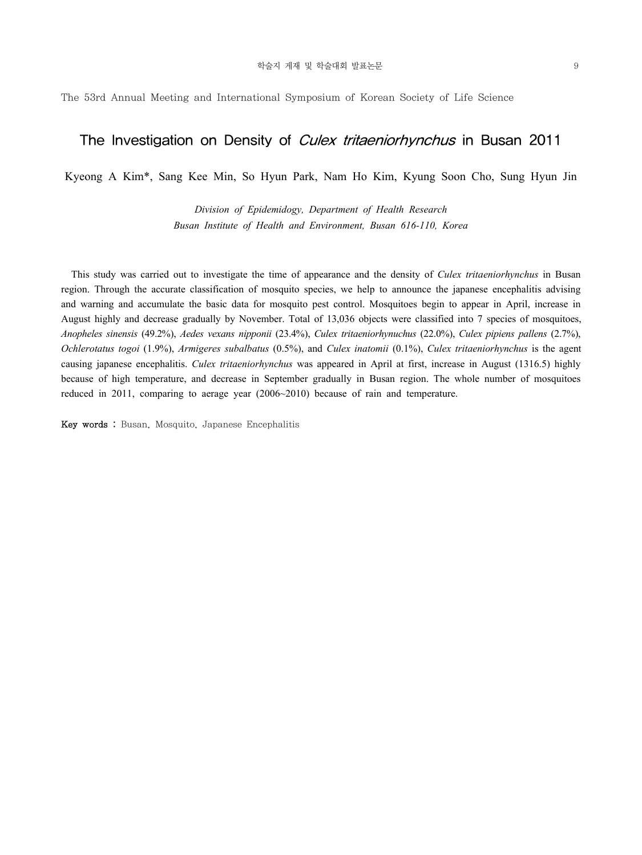### The Investigation on Density of *Culex tritaeniorhynchus* in Busan 2011

Kyeong A Kim\*, Sang Kee Min, So Hyun Park, Nam Ho Kim, Kyung Soon Cho, Sung Hyun Jin

*Division of Epidemidogy, Department of Health Research Busan Institute of Health and Environment, Busan 616-110, Korea*

 This study was carried out to investigate the time of appearance and the density of *Culex tritaeniorhynchus* in Busan region. Through the accurate classification of mosquito species, we help to announce the japanese encephalitis advising and warning and accumulate the basic data for mosquito pest control. Mosquitoes begin to appear in April, increase in August highly and decrease gradually by November. Total of 13,036 objects were classified into 7 species of mosquitoes, *Anopheles sinensis* (49.2%), *Aedes vexans nipponii* (23.4%), *Culex tritaeniorhynuchus* (22.0%), *Culex pipiens pallens* (2.7%), *Ochlerotatus togoi* (1.9%), *Armigeres subalbatus* (0.5%), and *Culex inatomii* (0.1%), *Culex tritaeniorhynchus* is the agent causing japanese encephalitis. *Culex tritaeniorhynchus* was appeared in April at first, increase in August (1316.5) highly because of high temperature, and decrease in September gradually in Busan region. The whole number of mosquitoes reduced in 2011, comparing to aerage year (2006~2010) because of rain and temperature.

Key words : Busan, Mosquito, Japanese Encephalitis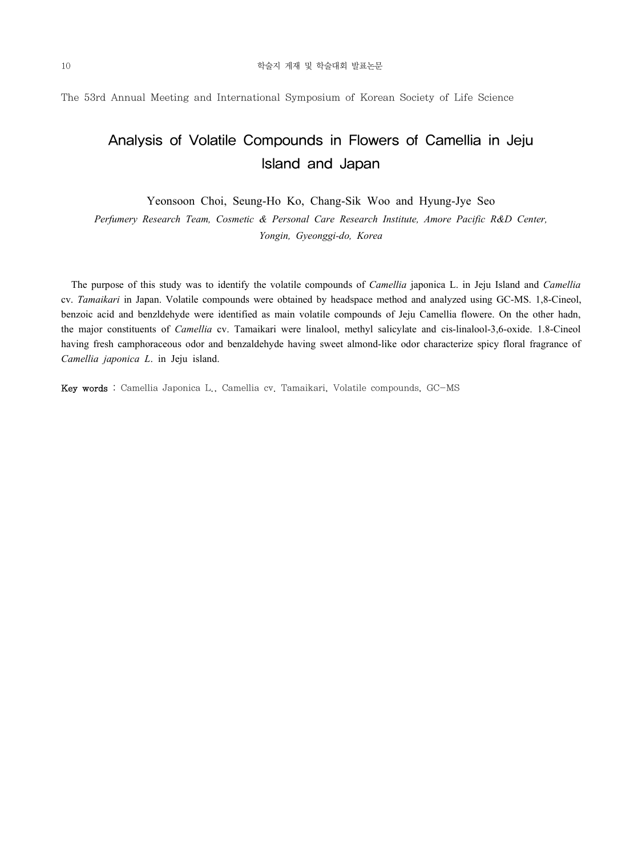# Analysis of Volatile Compounds in Flowers of Camellia in Jeju Island and Japan

Yeonsoon Choi, Seung-Ho Ko, Chang-Sik Woo and Hyung-Jye Seo

*Perfumery Research Team, Cosmetic & Personal Care Research Institute, Amore Pacific R&D Center, Yongin, Gyeonggi-do, Korea*

 The purpose of this study was to identify the volatile compounds of *Camellia* japonica L. in Jeju Island and *Camellia*  cv. *Tamaikari* in Japan. Volatile compounds were obtained by headspace method and analyzed using GC-MS. 1,8-Cineol, benzoic acid and benzldehyde were identified as main volatile compounds of Jeju Camellia flowere. On the other hadn, the major constituents of *Camellia* cv. Tamaikari were linalool, methyl salicylate and cis-linalool-3,6-oxide. 1.8-Cineol having fresh camphoraceous odor and benzaldehyde having sweet almond-like odor characterize spicy floral fragrance of *Camellia japonica L*. in Jeju island.

Key words : Camellia Japonica L., Camellia cv. Tamaikari, Volatile compounds, GC-MS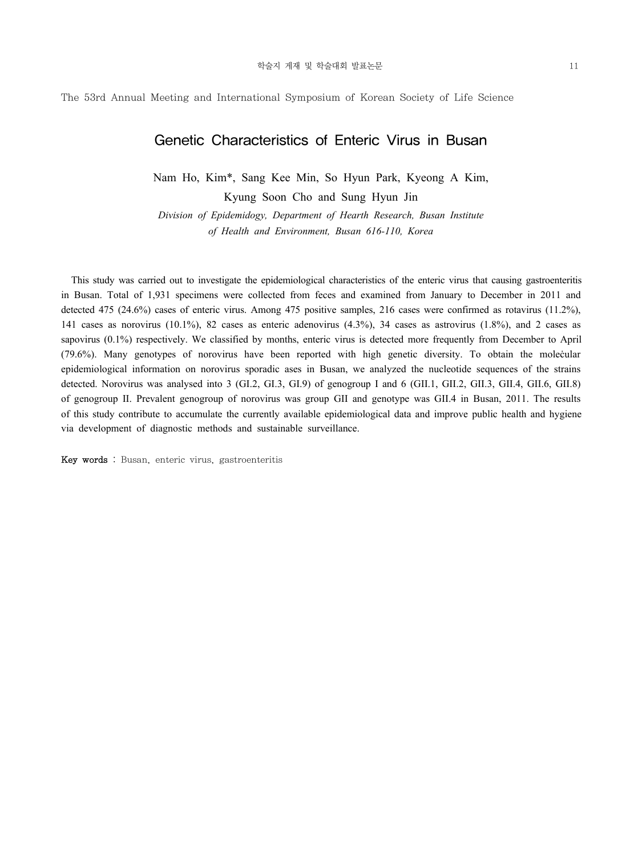### Genetic Characteristics of Enteric Virus in Busan

Nam Ho, Kim\*, Sang Kee Min, So Hyun Park, Kyeong A Kim,

Kyung Soon Cho and Sung Hyun Jin

*Division of Epidemidogy, Department of Hearth Research, Busan Institute*

*of Health and Environment, Busan 616-110, Korea*

 This study was carried out to investigate the epidemiological characteristics of the enteric virus that causing gastroenteritis in Busan. Total of 1,931 specimens were collected from feces and examined from January to December in 2011 and detected 475 (24.6%) cases of enteric virus. Among 475 positive samples, 216 cases were confirmed as rotavirus (11.2%), 141 cases as norovirus (10.1%), 82 cases as enteric adenovirus (4.3%), 34 cases as astrovirus (1.8%), and 2 cases as sapovirus (0.1%) respectively. We classified by months, enteric virus is detected more frequently from December to April (79.6%). Many genotypes of norovirus have been reported with high genetic diversity. To obtain the molecular epidemiological information on norovirus sporadic ases in Busan, we analyzed the nucleotide sequences of the strains detected. Norovirus was analysed into 3 (GI.2, GI.3, GI.9) of genogroup I and 6 (GII.1, GII.2, GII.3, GII.4, GII.6, GII.8) of genogroup II. Prevalent genogroup of norovirus was group GII and genotype was GII.4 in Busan, 2011. The results of this study contribute to accumulate the currently available epidemiological data and improve public health and hygiene via development of diagnostic methods and sustainable surveillance.

Key words : Busan, enteric virus, gastroenteritis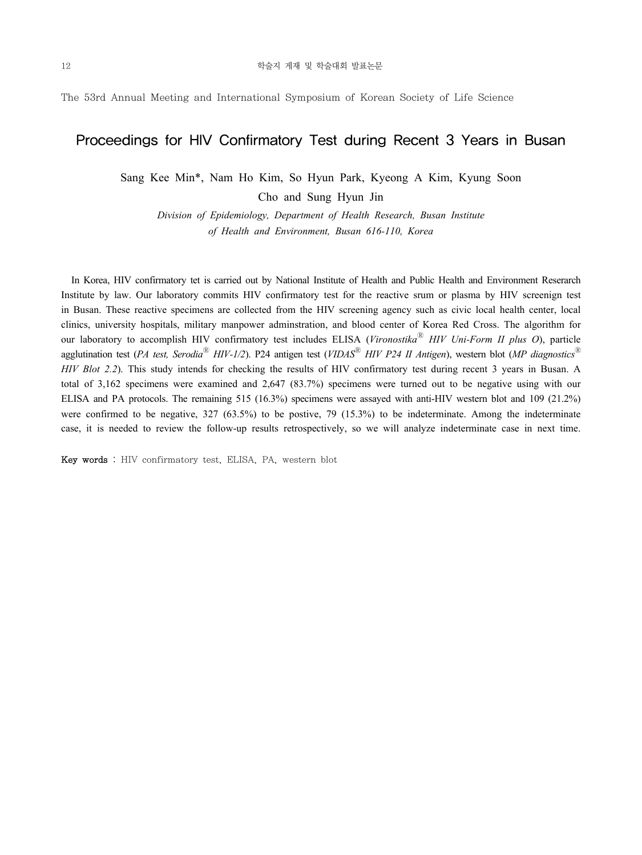### Proceedings for HIV Confirmatory Test during Recent 3 Years in Busan

Sang Kee Min\*, Nam Ho Kim, So Hyun Park, Kyeong A Kim, Kyung Soon

Cho and Sung Hyun Jin

*Division of Epidemiology, Department of Health Research, Busan Institute of Health and Environment, Busan 616-110, Korea*

 In Korea, HIV confirmatory tet is carried out by National Institute of Health and Public Health and Environment Reserarch Institute by law. Our laboratory commits HIV confirmatory test for the reactive srum or plasma by HIV screenign test in Busan. These reactive specimens are collected from the HIV screening agency such as civic local health center, local clinics, university hospitals, military manpower adminstration, and blood center of Korea Red Cross. The algorithm for our laboratory to accomplish HIV confirmatory test includes ELISA (*Vironostika*Ⓡ *HIV Uni-Form II plus O*), particle agglutination test (*PA test, Serodia*<sup>®</sup> *HIV-1/2*). P24 antigen test (*VIDAS*<sup>®</sup> *HIV P24 II Antigen*), western blot (*MP diagnostics*<sup>®</sup> *HIV Blot 2.2*). This study intends for checking the results of HIV confirmatory test during recent 3 years in Busan. A total of 3,162 specimens were examined and 2,647 (83.7%) specimens were turned out to be negative using with our ELISA and PA protocols. The remaining 515 (16.3%) specimens were assayed with anti-HIV western blot and 109 (21.2%) were confirmed to be negative, 327 (63.5%) to be postive, 79 (15.3%) to be indeterminate. Among the indeterminate case, it is needed to review the follow-up results retrospectively, so we will analyze indeterminate case in next time.

Key words : HIV confirmatory test, ELISA, PA, western blot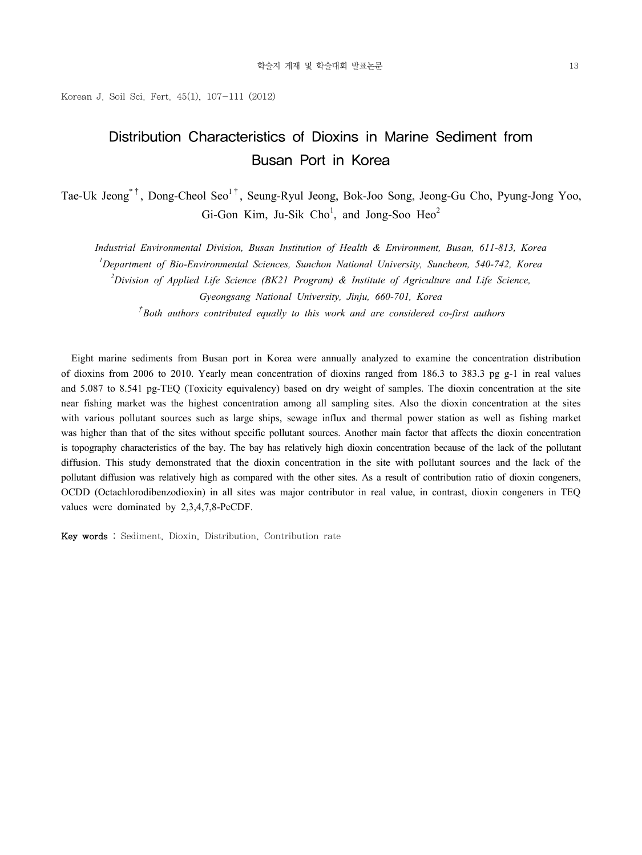Korean J. Soil Sci. Fert. 45(1), 107-111 (2012)

## Distribution Characteristics of Dioxins in Marine Sediment from Busan Port in Korea

Tae-Uk Jeong<sup>\*†</sup>, Dong-Cheol Seo<sup>1†</sup>, Seung-Ryul Jeong, Bok-Joo Song, Jeong-Gu Cho, Pyung-Jong Yoo, Gi-Gon Kim, Ju-Sik Cho<sup>1</sup>, and Jong-Soo Heo<sup>2</sup>

*Industrial Environmental Division, Busan Institution of Health & Environment, Busan, 611-813, Korea*

*1 Department of Bio-Environmental Sciences, Sunchon National University, Suncheon, 540-742, Korea*

*2 Division of Applied Life Science (BK21 Program) & Institute of Agriculture and Life Science,* 

*Gyeongsang National University, Jinju, 660-701, Korea*

† *Both authors contributed equally to this work and are considered co-first authors*

 Eight marine sediments from Busan port in Korea were annually analyzed to examine the concentration distribution of dioxins from 2006 to 2010. Yearly mean concentration of dioxins ranged from 186.3 to 383.3 pg g-1 in real values and 5.087 to 8.541 pg-TEQ (Toxicity equivalency) based on dry weight of samples. The dioxin concentration at the site near fishing market was the highest concentration among all sampling sites. Also the dioxin concentration at the sites with various pollutant sources such as large ships, sewage influx and thermal power station as well as fishing market was higher than that of the sites without specific pollutant sources. Another main factor that affects the dioxin concentration is topography characteristics of the bay. The bay has relatively high dioxin concentration because of the lack of the pollutant diffusion. This study demonstrated that the dioxin concentration in the site with pollutant sources and the lack of the pollutant diffusion was relatively high as compared with the other sites. As a result of contribution ratio of dioxin congeners, OCDD (Octachlorodibenzodioxin) in all sites was major contributor in real value, in contrast, dioxin congeners in TEQ values were dominated by 2,3,4,7,8-PeCDF.

Key words : Sediment, Dioxin, Distribution, Contribution rate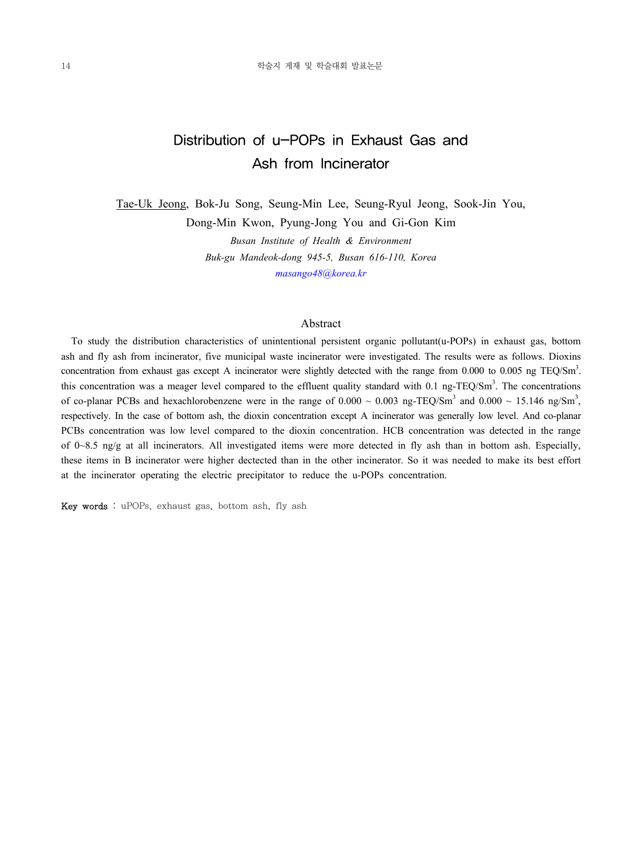# Distribution of u-POPs in Exhaust Gas and Ash from Incinerator

Tae-Uk Jeong, Bok-Ju Song, Seung-Min Lee, Seung-Ryul Jeong, Sook-Jin You, Dong-Min Kwon, Pyung-Jong You and Gi-Gon Kim *Busan Institute of Health & Environment Buk-gu Mandeok-dong 945-5, Busan 616-110, Korea masango48@korea.kr*

#### Abstract

 To study the distribution characteristics of unintentional persistent organic pollutant(u-POPs) in exhaust gas, bottom ash and fly ash from incinerator, five municipal waste incinerator were investigated. The results were as follows. Dioxins concentration from exhaust gas except A incinerator were slightly detected with the range from 0.000 to 0.005 ng TEQ/Sm<sup>3</sup>. this concentration was a meager level compared to the effluent quality standard with  $0.1$  ng-TEQ/Sm<sup>3</sup>. The concentrations of co-planar PCBs and hexachlorobenzene were in the range of  $0.000 \sim 0.003$  ng-TEQ/Sm<sup>3</sup> and  $0.000 \sim 15.146$  ng/Sm<sup>3</sup>, respectively. In the case of bottom ash, the dioxin concentration except A incinerator was generally low level. And co-planar PCBs concentration was low level compared to the dioxin concentration. HCB concentration was detected in the range of 0~8.5 ng/g at all incinerators. All investigated items were more detected in fly ash than in bottom ash. Especially, these items in B incinerator were higher dectected than in the other incinerator. So it was needed to make its best effort at the incinerator operating the electric precipitator to reduce the u-POPs concentration.

Key words : uPOPs, exhaust gas, bottom ash, fly ash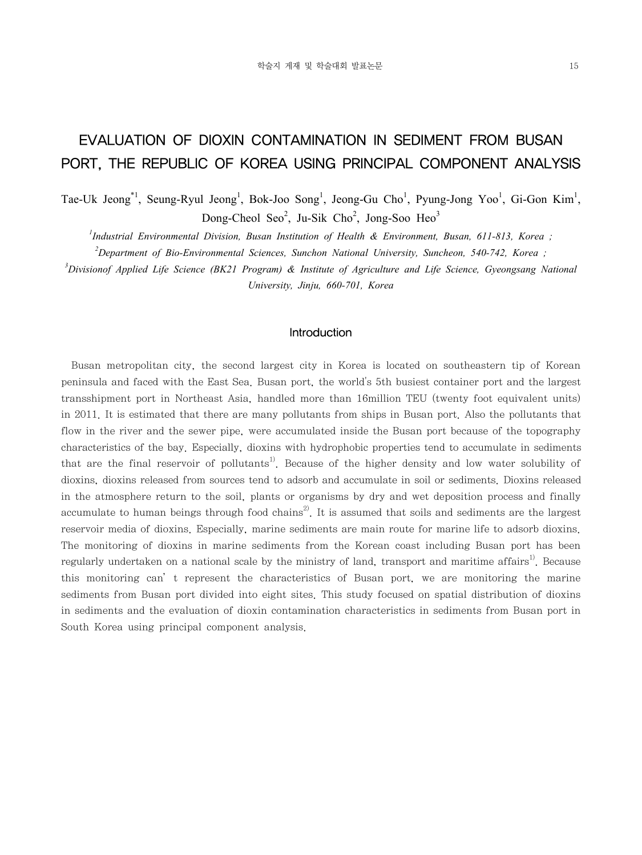# EVALUATION OF DIOXIN CONTAMINATION IN SEDIMENT FROM BUSAN PORT, THE REPUBLIC OF KOREA USING PRINCIPAL COMPONENT ANALYSIS

Tae-Uk Jeong<sup>\*1</sup>, Seung-Ryul Jeong<sup>1</sup>, Bok-Joo Song<sup>1</sup>, Jeong-Gu Cho<sup>1</sup>, Pyung-Jong Yoo<sup>1</sup>, Gi-Gon Kim<sup>1</sup>, Dong-Cheol Seo<sup>2</sup>, Ju-Sik Cho<sup>2</sup>, Jong-Soo Heo<sup>3</sup>

*1 Industrial Environmental Division, Busan Institution of Health & Environment, Busan, 611-813, Korea ;* 

*2 Department of Bio-Environmental Sciences, Sunchon National University, Suncheon, 540-742, Korea ;* 

*3 Divisionof Applied Life Science (BK21 Program) & Institute of Agriculture and Life Science, Gyeongsang National University, Jinju, 660-701, Korea* 

#### Introduction

 Busan metropolitan city, the second largest city in Korea is located on southeastern tip of Korean peninsula and faced with the East Sea. Busan port, the world's 5th busiest container port and the largest transshipment port in Northeast Asia, handled more than 16million TEU (twenty foot equivalent units) in 2011. It is estimated that there are many pollutants from ships in Busan port. Also the pollutants that flow in the river and the sewer pipe, were accumulated inside the Busan port because of the topography characteristics of the bay. Especially, dioxins with hydrophobic properties tend to accumulate in sediments that are the final reservoir of pollutants<sup>1</sup>. Because of the higher density and low water solubility of dioxins, dioxins released from sources tend to adsorb and accumulate in soil or sediments. Dioxins released in the atmosphere return to the soil, plants or organisms by dry and wet deposition process and finally accumulate to human beings through food chains<sup>2</sup>. It is assumed that soils and sediments are the largest reservoir media of dioxins. Especially, marine sediments are main route for marine life to adsorb dioxins. The monitoring of dioxins in marine sediments from the Korean coast including Busan port has been regularly undertaken on a national scale by the ministry of land, transport and maritime affairs<sup>1)</sup>. Because this monitoring can't represent the characteristics of Busan port, we are monitoring the marine sediments from Busan port divided into eight sites. This study focused on spatial distribution of dioxins in sediments and the evaluation of dioxin contamination characteristics in sediments from Busan port in South Korea using principal component analysis.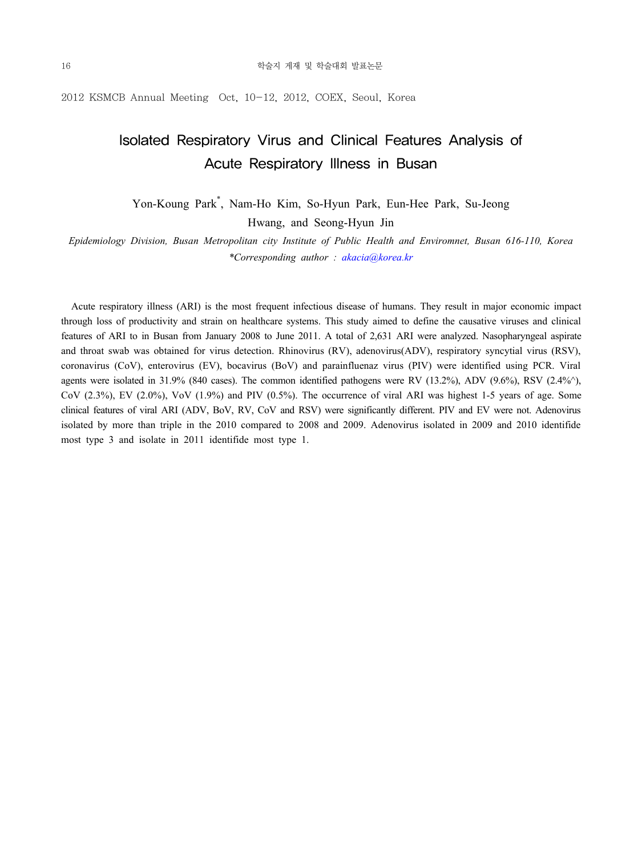2012 KSMCB Annual Meeting Oct, 10-12, 2012, COEX, Seoul, Korea

## Isolated Respiratory Virus and Clinical Features Analysis of Acute Respiratory Illness in Busan

Yon-Koung Park\* , Nam-Ho Kim, So-Hyun Park, Eun-Hee Park, Su-Jeong

Hwang, and Seong-Hyun Jin

*Epidemiology Division, Busan Metropolitan city Institute of Public Health and Enviromnet, Busan 616-110, Korea \*Corresponding author : akacia@korea.kr*

 Acute respiratory illness (ARI) is the most frequent infectious disease of humans. They result in major economic impact through loss of productivity and strain on healthcare systems. This study aimed to define the causative viruses and clinical features of ARI to in Busan from January 2008 to June 2011. A total of 2,631 ARI were analyzed. Nasopharyngeal aspirate and throat swab was obtained for virus detection. Rhinovirus (RV), adenovirus(ADV), respiratory syncytial virus (RSV), coronavirus (CoV), enterovirus (EV), bocavirus (BoV) and parainfluenaz virus (PIV) were identified using PCR. Viral agents were isolated in 31.9% (840 cases). The common identified pathogens were RV (13.2%), ADV (9.6%), RSV (2.4%^), CoV  $(2.3\%)$ , EV  $(2.0\%)$ , VoV  $(1.9\%)$  and PIV  $(0.5\%)$ . The occurrence of viral ARI was highest 1-5 years of age. Some clinical features of viral ARI (ADV, BoV, RV, CoV and RSV) were significantly different. PIV and EV were not. Adenovirus isolated by more than triple in the 2010 compared to 2008 and 2009. Adenovirus isolated in 2009 and 2010 identifide most type 3 and isolate in 2011 identifide most type 1.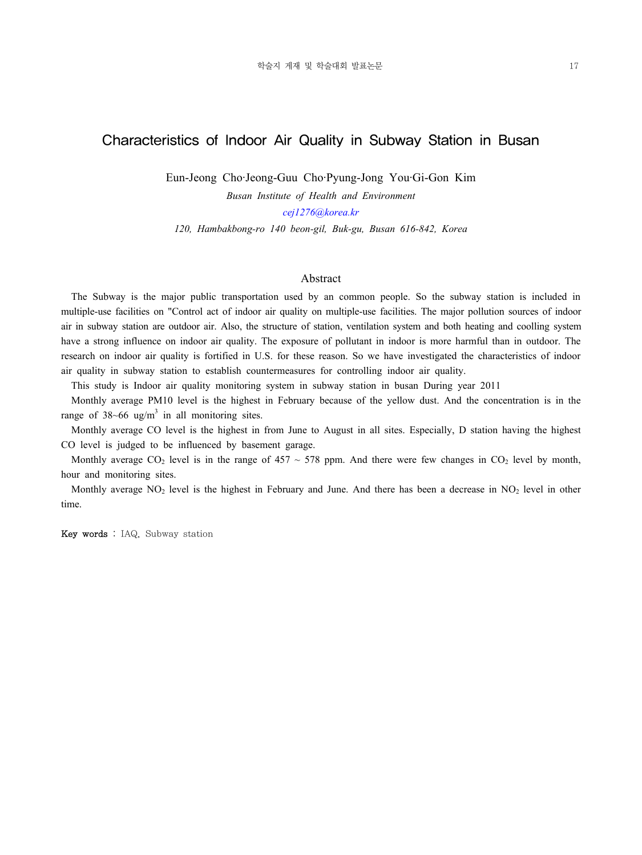### Characteristics of Indoor Air Quality in Subway Station in Busan

Eun-Jeong Cho·Jeong-Guu Cho·Pyung-Jong You·Gi-Gon Kim

*Busan Institute of Health and Environment cej1276@korea.kr 120, Hambakbong-ro 140 beon-gil, Buk-gu, Busan 616-842, Korea*

#### Abstract

 The Subway is the major public transportation used by an common people. So the subway station is included in multiple-use facilities on "Control act of indoor air quality on multiple-use facilities. The major pollution sources of indoor air in subway station are outdoor air. Also, the structure of station, ventilation system and both heating and coolling system have a strong influence on indoor air quality. The exposure of pollutant in indoor is more harmful than in outdoor. The research on indoor air quality is fortified in U.S. for these reason. So we have investigated the characteristics of indoor air quality in subway station to establish countermeasures for controlling indoor air quality.

This study is Indoor air quality monitoring system in subway station in busan During year 2011

 Monthly average PM10 level is the highest in February because of the yellow dust. And the concentration is in the range of  $38~66$  ug/m<sup>3</sup> in all monitoring sites.

 Monthly average CO level is the highest in from June to August in all sites. Especially, D station having the highest CO level is judged to be influenced by basement garage.

Monthly average  $CO_2$  level is in the range of 457  $\sim$  578 ppm. And there were few changes in  $CO_2$  level by month, hour and monitoring sites.

Monthly average  $NO_2$  level is the highest in February and June. And there has been a decrease in  $NO_2$  level in other time.

Key words : IAQ, Subway station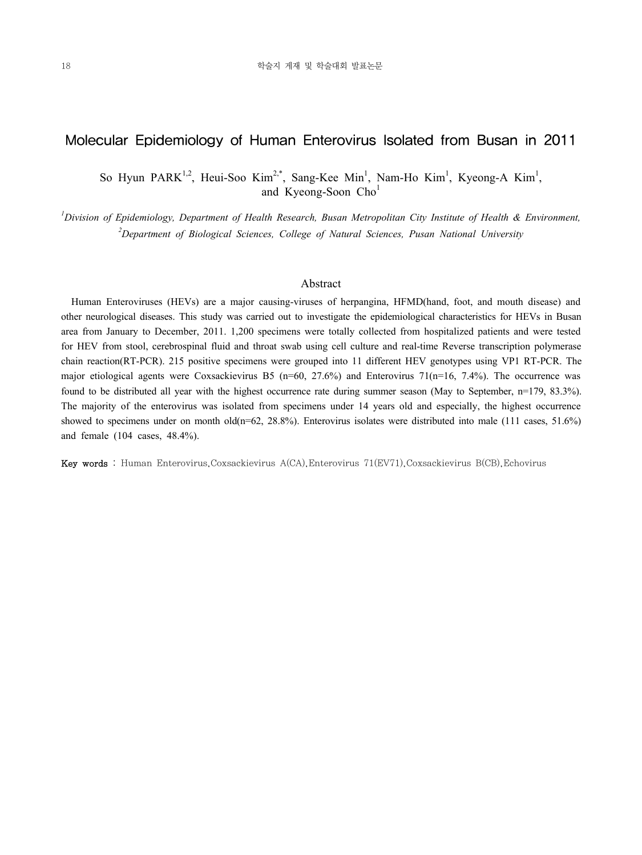## Molecular Epidemiology of Human Enterovirus Isolated from Busan in 2011

So Hyun PARK<sup>1,2</sup>, Heui-Soo Kim<sup>2,\*</sup>, Sang-Kee Min<sup>1</sup>, Nam-Ho Kim<sup>1</sup>, Kyeong-A Kim<sup>1</sup>, and Kyeong-Soon  $Cho<sup>1</sup>$ 

*1 Division of Epidemiology, Department of Health Research, Busan Metropolitan City Institute of Health & Environment, 2 Department of Biological Sciences, College of Natural Sciences, Pusan National University*

#### Abstract

 Human Enteroviruses (HEVs) are a major causing-viruses of herpangina, HFMD(hand, foot, and mouth disease) and other neurological diseases. This study was carried out to investigate the epidemiological characteristics for HEVs in Busan area from January to December, 2011. 1,200 specimens were totally collected from hospitalized patients and were tested for HEV from stool, cerebrospinal fluid and throat swab using cell culture and real-time Reverse transcription polymerase chain reaction(RT-PCR). 215 positive specimens were grouped into 11 different HEV genotypes using VP1 RT-PCR. The major etiological agents were Coxsackievirus B5 ( $n=60$ , 27.6%) and Enterovirus 71( $n=16$ , 7.4%). The occurrence was found to be distributed all year with the highest occurrence rate during summer season (May to September, n=179, 83.3%). The majority of the enterovirus was isolated from specimens under 14 years old and especially, the highest occurrence showed to specimens under on month old(n=62, 28.8%). Enterovirus isolates were distributed into male (111 cases, 51.6%) and female (104 cases, 48.4%).

Key words : Human Enterovirus,Coxsackievirus A(CA),Enterovirus 71(EV71),Coxsackievirus B(CB),Echovirus